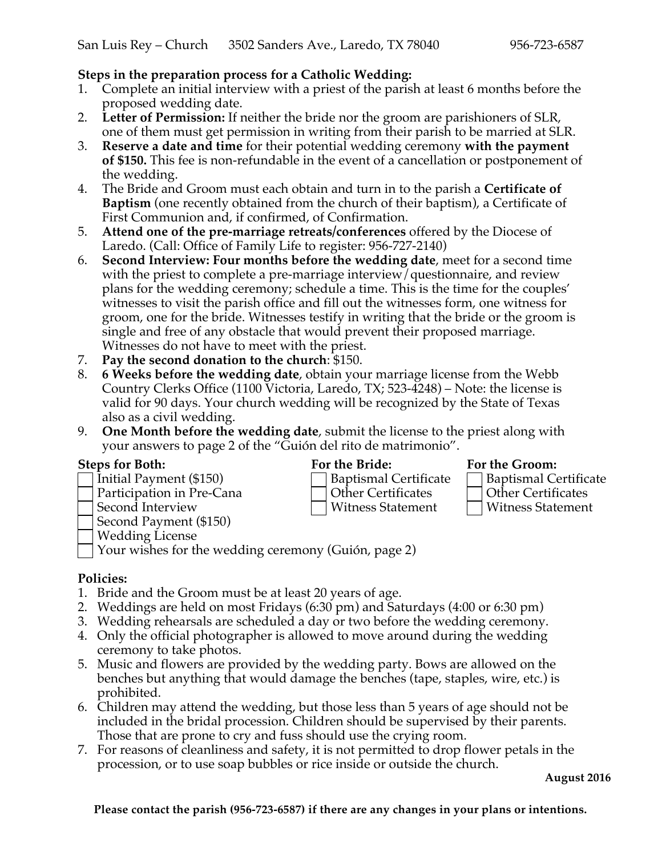# **Steps in the preparation process for a Catholic Wedding:**

- 1. Complete an initial interview with a priest of the parish at least 6 months before the proposed wedding date.
- 2. **Letter of Permission:** If neither the bride nor the groom are parishioners of SLR, one of them must get permission in writing from their parish to be married at SLR.
- 3. **Reserve a date and time** for their potential wedding ceremony **with the payment of \$150.** This fee is non-refundable in the event of a cancellation or postponement of the wedding.
- 4. The Bride and Groom must each obtain and turn in to the parish a **Certificate of Baptism** (one recently obtained from the church of their baptism), a Certificate of First Communion and, if confirmed, of Confirmation.
- 5. **Attend one of the pre-marriage retreats/conferences** offered by the Diocese of Laredo. (Call: Office of Family Life to register: 956-727-2140)
- 6. **Second Interview: Four months before the wedding date**, meet for a second time with the priest to complete a pre-marriage interview/questionnaire, and review plans for the wedding ceremony; schedule a time. This is the time for the couples' witnesses to visit the parish office and fill out the witnesses form, one witness for groom, one for the bride. Witnesses testify in writing that the bride or the groom is single and free of any obstacle that would prevent their proposed marriage. Witnesses do not have to meet with the priest.
- 7. **Pay the second donation to the church**: \$150.
- 8. **6 Weeks before the wedding date**, obtain your marriage license from the Webb Country Clerks Office (1100 Victoria, Laredo, TX; 523-4248) – Note: the license is valid for 90 days. Your church wedding will be recognized by the State of Texas also as a civil wedding.
- 9. **One Month before the wedding date**, submit the license to the priest along with your answers to page 2 of the "Guión del rito de matrimonio".

- Initial Payment (\$150) **Baptismal Certificate** Baptismal Certificate
- 
- 
- Second Payment (\$150) Wedding License
- 

Participation in Pre-Cana <br>
Other Certificates Second Interview Mitness Statement Mitness Statement

# **Steps for Both: For the Bride: For the Groom:**

- 
- 

Witness Statement **Interview Witness Statement** 

Your wishes for the wedding ceremony (Guión, page 2)

## **Policies:**

- 1. Bride and the Groom must be at least 20 years of age.
- 2. Weddings are held on most Fridays (6:30 pm) and Saturdays (4:00 or 6:30 pm)
- 3. Wedding rehearsals are scheduled a day or two before the wedding ceremony.
- 4. Only the official photographer is allowed to move around during the wedding ceremony to take photos.
- 5. Music and flowers are provided by the wedding party. Bows are allowed on the benches but anything that would damage the benches (tape, staples, wire, etc.) is prohibited.
- 6. Children may attend the wedding, but those less than 5 years of age should not be included in the bridal procession. Children should be supervised by their parents. Those that are prone to cry and fuss should use the crying room.
- 7. For reasons of cleanliness and safety, it is not permitted to drop flower petals in the procession, or to use soap bubbles or rice inside or outside the church.